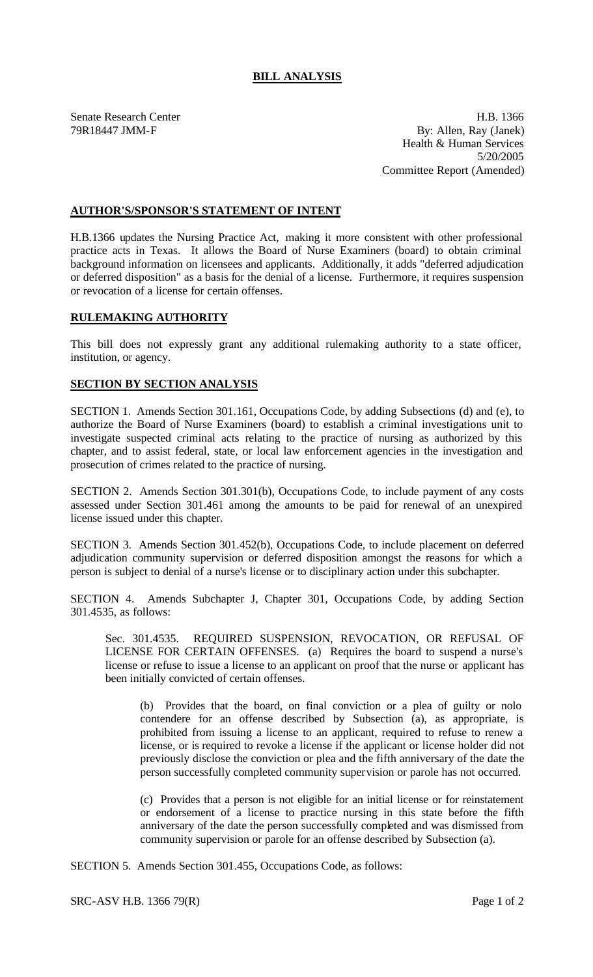# **BILL ANALYSIS**

Senate Research Center **H.B.** 1366 79R18447 JMM-F By: Allen, Ray (Janek) Health & Human Services 5/20/2005 Committee Report (Amended)

## **AUTHOR'S/SPONSOR'S STATEMENT OF INTENT**

H.B.1366 updates the Nursing Practice Act, making it more consistent with other professional practice acts in Texas. It allows the Board of Nurse Examiners (board) to obtain criminal background information on licensees and applicants. Additionally, it adds "deferred adjudication or deferred disposition" as a basis for the denial of a license. Furthermore, it requires suspension or revocation of a license for certain offenses.

### **RULEMAKING AUTHORITY**

This bill does not expressly grant any additional rulemaking authority to a state officer, institution, or agency.

### **SECTION BY SECTION ANALYSIS**

SECTION 1. Amends Section 301.161, Occupations Code, by adding Subsections (d) and (e), to authorize the Board of Nurse Examiners (board) to establish a criminal investigations unit to investigate suspected criminal acts relating to the practice of nursing as authorized by this chapter, and to assist federal, state, or local law enforcement agencies in the investigation and prosecution of crimes related to the practice of nursing.

SECTION 2. Amends Section 301.301(b), Occupations Code, to include payment of any costs assessed under Section 301.461 among the amounts to be paid for renewal of an unexpired license issued under this chapter.

SECTION 3. Amends Section 301.452(b), Occupations Code, to include placement on deferred adjudication community supervision or deferred disposition amongst the reasons for which a person is subject to denial of a nurse's license or to disciplinary action under this subchapter.

SECTION 4. Amends Subchapter J, Chapter 301, Occupations Code, by adding Section 301.4535, as follows:

Sec. 301.4535. REQUIRED SUSPENSION, REVOCATION, OR REFUSAL OF LICENSE FOR CERTAIN OFFENSES. (a) Requires the board to suspend a nurse's license or refuse to issue a license to an applicant on proof that the nurse or applicant has been initially convicted of certain offenses.

(b) Provides that the board, on final conviction or a plea of guilty or nolo contendere for an offense described by Subsection (a), as appropriate, is prohibited from issuing a license to an applicant, required to refuse to renew a license, or is required to revoke a license if the applicant or license holder did not previously disclose the conviction or plea and the fifth anniversary of the date the person successfully completed community supervision or parole has not occurred.

(c) Provides that a person is not eligible for an initial license or for reinstatement or endorsement of a license to practice nursing in this state before the fifth anniversary of the date the person successfully completed and was dismissed from community supervision or parole for an offense described by Subsection (a).

SECTION 5. Amends Section 301.455, Occupations Code, as follows: